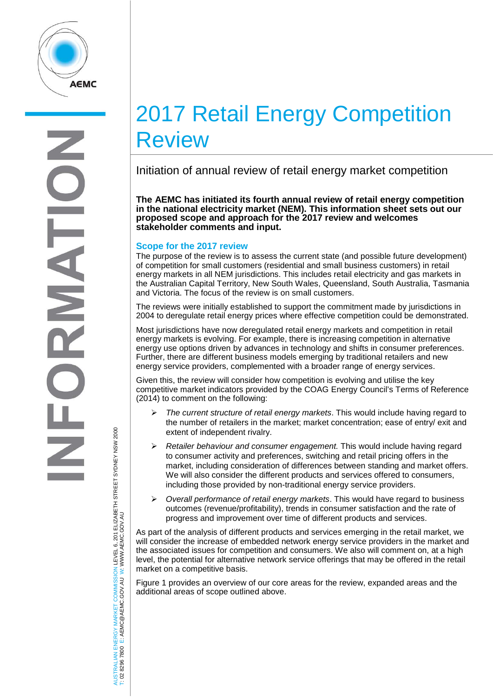

# 2017 Retail Energy Competition Review

Initiation of annual review of retail energy market competition

**The AEMC has initiated its fourth annual review of retail energy competition in the national electricity market (NEM). This information sheet sets out our proposed scope and approach for the 2017 review and welcomes stakeholder comments and input.** 

# **Scope for the 2017 review**

The purpose of the review is to assess the current state (and possible future development) of competition for small customers (residential and small business customers) in retail energy markets in all NEM jurisdictions. This includes retail electricity and gas markets in the Australian Capital Territory, New South Wales, Queensland, South Australia, Tasmania and Victoria. The focus of the review is on small customers.

The reviews were initially established to support the commitment made by jurisdictions in 2004 to deregulate retail energy prices where effective competition could be demonstrated.

Most jurisdictions have now deregulated retail energy markets and competition in retail energy markets is evolving. For example, there is increasing competition in alternative energy use options driven by advances in technology and shifts in consumer preferences. Further, there are different business models emerging by traditional retailers and new energy service providers, complemented with a broader range of energy services.

Given this, the review will consider how competition is evolving and utilise the key competitive market indicators provided by the COAG Energy Council's Terms of Reference (2014) to comment on the following:

- *The current structure of retail energy markets*. This would include having regard to the number of retailers in the market; market concentration; ease of entry/ exit and extent of independent rivalry.
- *Retailer behaviour and consumer engagement.* This would include having regard to consumer activity and preferences, switching and retail pricing offers in the market, including consideration of differences between standing and market offers. We will also consider the different products and services offered to consumers, including those provided by non-traditional energy service providers.
- *Overall performance of retail energy markets*. This would have regard to business outcomes (revenue/profitability), trends in consumer satisfaction and the rate of progress and improvement over time of different products and services.

As part of the analysis of different products and services emerging in the retail market, we will consider the increase of embedded network energy service providers in the market and the associated issues for competition and consumers. We also will comment on, at a high level, the potential for alternative network service offerings that may be offered in the retail market on a competitive basis.

Figure 1 provides an overview of our core areas for the review, expanded areas and the additional areas of scope outlined above.

AUSTRALIAN ENERGY MARKET COMMISSION LEVEL 6, 201 ELIZABETH STREET SYDNEY NSW 2000 ISTRALIAN ENERGY MARKET COMMISSION LEVEL 6, 201 ELIZABETH STREET SYDNEY NSM 2000<br>02 8296 7800 E: AEMC@AEMC.GOV.AU W: WWW.AEMC.GOV.AU W: WWW.AEMC.GOV.AU T: 02 8296 7800 E: AEMC@AEMC.GOV.AU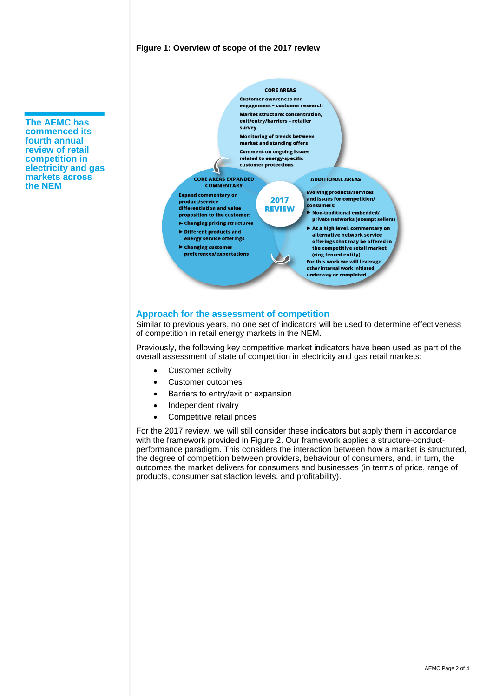#### **Figure 1: Overview of scope of the 2017 review**

**The AEMC has commenced its fourth annual review of retail competition in electricity and gas markets across the NEM** 



## **Approach for the assessment of competition**

Similar to previous years, no one set of indicators will be used to determine effectiveness of competition in retail energy markets in the NEM.

Previously, the following key competitive market indicators have been used as part of the overall assessment of state of competition in electricity and gas retail markets:

- Customer activity
- Customer outcomes
- Barriers to entry/exit or expansion
- Independent rivalry
- Competitive retail prices

For the 2017 review, we will still consider these indicators but apply them in accordance with the framework provided in Figure 2. Our framework applies a structure-conductperformance paradigm. This considers the interaction between how a market is structured, the degree of competition between providers, behaviour of consumers, and, in turn, the outcomes the market delivers for consumers and businesses (in terms of price, range of products, consumer satisfaction levels, and profitability).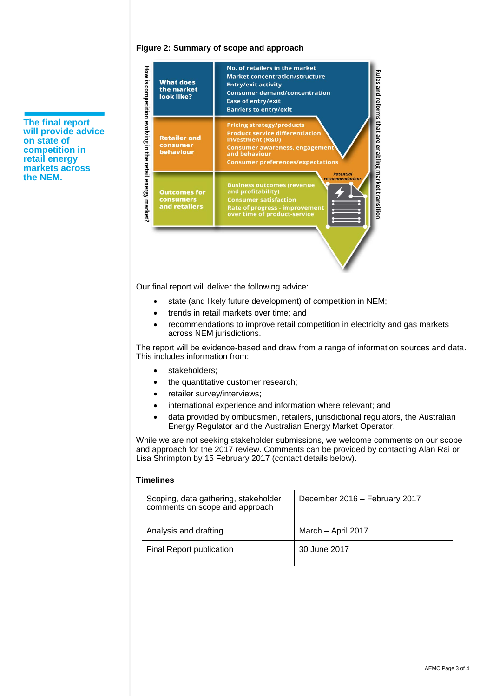#### **Figure 2: Summary of scope and approach**



Our final report will deliver the following advice:

- state (and likely future development) of competition in NEM;
- trends in retail markets over time; and
- recommendations to improve retail competition in electricity and gas markets across NEM jurisdictions.

The report will be evidence-based and draw from a range of information sources and data. This includes information from:

- stakeholders;
- the quantitative customer research;
- retailer survey/interviews;
- international experience and information where relevant; and
- data provided by ombudsmen, retailers, jurisdictional regulators, the Australian Energy Regulator and the Australian Energy Market Operator.

While we are not seeking stakeholder submissions, we welcome comments on our scope and approach for the 2017 review. Comments can be provided by contacting Alan Rai or Lisa Shrimpton by 15 February 2017 (contact details below).

#### **Timelines**

| Scoping, data gathering, stakeholder<br>comments on scope and approach | December 2016 - February 2017 |
|------------------------------------------------------------------------|-------------------------------|
| Analysis and drafting                                                  | March - April 2017            |
| Final Report publication                                               | 30 June 2017                  |

**The final report will provide advice on state of competition in retail energy markets across the NEM.**